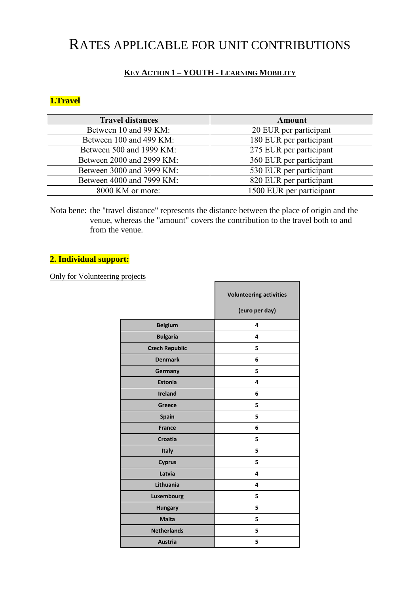# RATES APPLICABLE FOR UNIT CONTRIBUTIONS

# **KEY ACTION 1 – YOUTH - LEARNING MOBILITY**

# **1.Travel**

| <b>Travel distances</b>   | Amount                   |  |
|---------------------------|--------------------------|--|
| Between 10 and 99 KM:     | 20 EUR per participant   |  |
| Between 100 and 499 KM:   | 180 EUR per participant  |  |
| Between 500 and 1999 KM:  | 275 EUR per participant  |  |
| Between 2000 and 2999 KM: | 360 EUR per participant  |  |
| Between 3000 and 3999 KM: | 530 EUR per participant  |  |
| Between 4000 and 7999 KM: | 820 EUR per participant  |  |
| 8000 KM or more:          | 1500 EUR per participant |  |

Nota bene: the "travel distance" represents the distance between the place of origin and the venue, whereas the "amount" covers the contribution to the travel both to and from the venue.

## **2. Individual support:**

#### Only for Volunteering projects

| <u>pivjuus</u>        |                                                  |  |
|-----------------------|--------------------------------------------------|--|
|                       | <b>Volunteering activities</b><br>(euro per day) |  |
| <b>Belgium</b>        | 4                                                |  |
| <b>Bulgaria</b>       | 4                                                |  |
| <b>Czech Republic</b> | 5                                                |  |
| <b>Denmark</b>        | 6                                                |  |
| Germany               | 5                                                |  |
| <b>Estonia</b>        | 4                                                |  |
| Ireland               | 6                                                |  |
| <b>Greece</b>         | 5                                                |  |
| <b>Spain</b>          | 5                                                |  |
| <b>France</b>         | 6                                                |  |
| <b>Croatia</b>        | 5                                                |  |
| Italy                 | 5                                                |  |
| <b>Cyprus</b>         | 5                                                |  |
| Latvia                | 4                                                |  |
| Lithuania             | 4                                                |  |
| Luxembourg            | 5                                                |  |
| <b>Hungary</b>        | 5                                                |  |
| <b>Malta</b>          | 5                                                |  |
| <b>Netherlands</b>    | 5                                                |  |
| <b>Austria</b>        | 5                                                |  |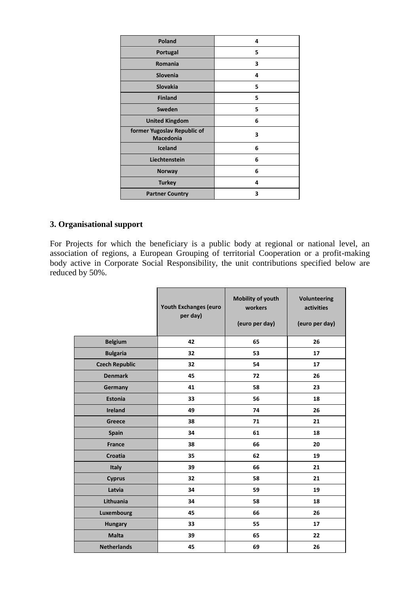| Poland                                          | 4 |
|-------------------------------------------------|---|
| Portugal                                        | 5 |
| <b>Romania</b>                                  | 3 |
| Slovenia                                        | 4 |
| <b>Slovakia</b>                                 | 5 |
| <b>Finland</b>                                  | 5 |
| Sweden                                          | 5 |
| <b>United Kingdom</b>                           | 6 |
| former Yugoslav Republic of<br><b>Macedonia</b> | 3 |
| Iceland                                         | 6 |
| Liechtenstein                                   | 6 |
| <b>Norway</b>                                   | 6 |
| <b>Turkey</b>                                   | 4 |
| <b>Partner Country</b>                          | 3 |

#### **3. Organisational support**

For Projects for which the beneficiary is a public body at regional or national level, an association of regions, a European Grouping of territorial Cooperation or a profit-making body active in Corporate Social Responsibility, the unit contributions specified below are reduced by 50%.

|                       | <b>Youth Exchanges (euro</b><br>per day) | Mobility of youth<br>workers<br>(euro per day) | <b>Volunteering</b><br>activities<br>(euro per day) |
|-----------------------|------------------------------------------|------------------------------------------------|-----------------------------------------------------|
| <b>Belgium</b>        | 42                                       | 65                                             | 26                                                  |
| <b>Bulgaria</b>       | 32                                       | 53                                             | 17                                                  |
| <b>Czech Republic</b> | 32                                       | 54                                             | 17                                                  |
| <b>Denmark</b>        | 45                                       | 72                                             | 26                                                  |
| Germany               | 41                                       | 58                                             | 23                                                  |
| <b>Estonia</b>        | 33                                       | 56                                             | 18                                                  |
| <b>Ireland</b>        | 49                                       | 74                                             | 26                                                  |
| Greece                | 38                                       | 71                                             | 21                                                  |
| <b>Spain</b>          | 34                                       | 61                                             | 18                                                  |
| <b>France</b>         | 38                                       | 66                                             | 20                                                  |
| Croatia               | 35                                       | 62                                             | 19                                                  |
| <b>Italy</b>          | 39                                       | 66                                             | 21                                                  |
| <b>Cyprus</b>         | 32                                       | 58                                             | 21                                                  |
| Latvia                | 34                                       | 59                                             | 19                                                  |
| Lithuania             | 34                                       | 58                                             | 18                                                  |
| Luxembourg            | 45                                       | 66                                             | 26                                                  |
| <b>Hungary</b>        | 33                                       | 55                                             | 17                                                  |
| <b>Malta</b>          | 39                                       | 65                                             | 22                                                  |
| <b>Netherlands</b>    | 45                                       | 69                                             | 26                                                  |